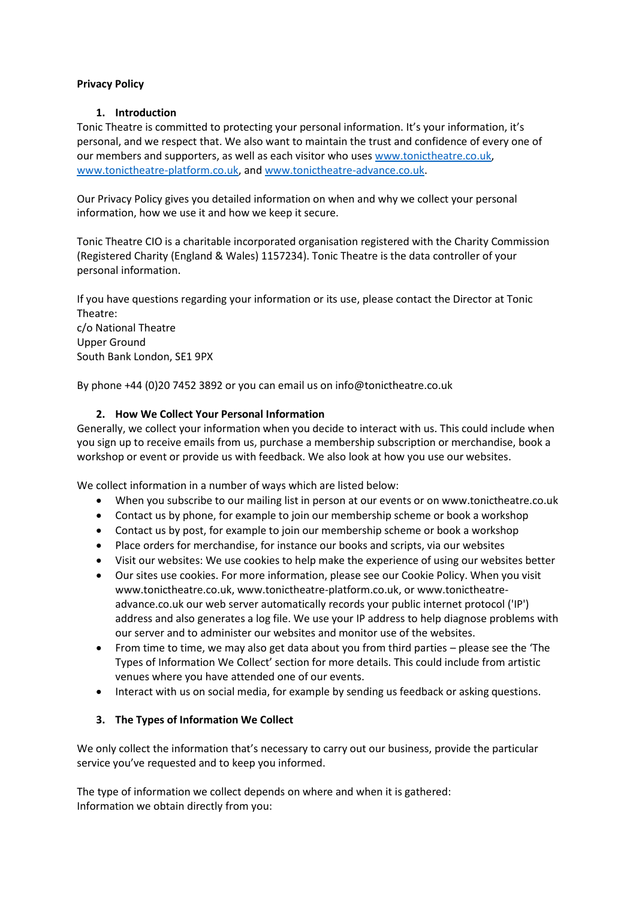#### **Privacy Policy**

#### **1. Introduction**

Tonic Theatre is committed to protecting your personal information. It's your information, it's personal, and we respect that. We also want to maintain the trust and confidence of every one of our members and supporters, as well as each visitor who uses [www.tonictheatre.co.uk,](www.tonictheatre.co.uk) [www.tonictheatre-platform.co.uk,](www.tonictheatre-platform.co.uk) an[d www.tonictheatre-advance.co.uk.](www.tonictheatre-advance.co.uk)

Our Privacy Policy gives you detailed information on when and why we collect your personal information, how we use it and how we keep it secure.

Tonic Theatre CIO is a charitable incorporated organisation registered with the Charity Commission (Registered Charity (England & Wales) 1157234). Tonic Theatre is the data controller of your personal information.

If you have questions regarding your information or its use, please contact the Director at Tonic Theatre: c/o National Theatre Upper Ground South Bank London, SE1 9PX

By phone +44 (0)20 7452 3892 or you can email us on info@tonictheatre.co.uk

## **2. How We Collect Your Personal Information**

Generally, we collect your information when you decide to interact with us. This could include when you sign up to receive emails from us, purchase a membership subscription or merchandise, book a workshop or event or provide us with feedback. We also look at how you use our websites.

We collect information in a number of ways which are listed below:

- When you subscribe to our mailing list in person at our events or on www.tonictheatre.co.uk
- Contact us by phone, for example to join our membership scheme or book a workshop
- Contact us by post, for example to join our membership scheme or book a workshop
- Place orders for merchandise, for instance our books and scripts, via our websites
- Visit our websites: We use cookies to help make the experience of using our websites better
- Our sites use cookies. For more information, please see our Cookie Policy. When you visit [www.tonictheatre.co.uk,](http://www.tonictheatre.co.uk/) [www.tonictheatre-platform.co.uk,](http://www.tonictheatre-platform.co.uk/) o[r www.tonictheatre](http://www.tonictheatre-advance.co.uk/)[advance.co.uk](http://www.tonictheatre-advance.co.uk/) our web server automatically records your public internet protocol ('IP') address and also generates a log file. We use your IP address to help diagnose problems with our server and to administer our websites and monitor use of the websites.
- From time to time, we may also get data about you from third parties please see the 'The Types of Information We Collect' section for more details. This could include from artistic venues where you have attended one of our events.
- Interact with us on social media, for example by sending us feedback or asking questions.

## **3. The Types of Information We Collect**

We only collect the information that's necessary to carry out our business, provide the particular service you've requested and to keep you informed.

The type of information we collect depends on where and when it is gathered: Information we obtain directly from you: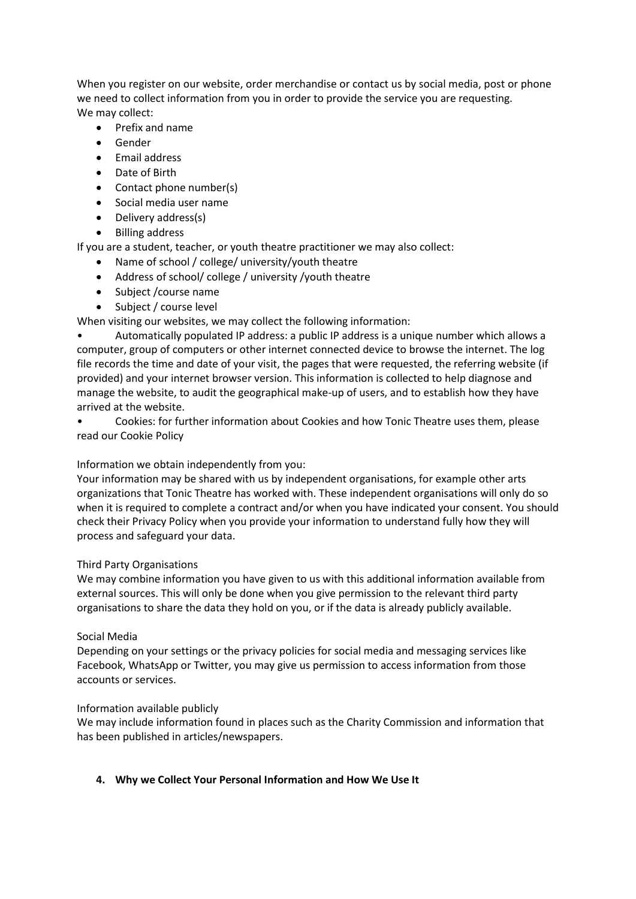When you register on our website, order merchandise or contact us by social media, post or phone we need to collect information from you in order to provide the service you are requesting. We may collect:

- Prefix and name
- Gender
- **•** Email address
- Date of Birth
- Contact phone number(s)
- Social media user name
- Delivery address(s)
- Billing address

If you are a student, teacher, or youth theatre practitioner we may also collect:

- Name of school / college/ university/youth theatre
- Address of school/ college / university /youth theatre
- Subject / course name
- Subject / course level

When visiting our websites, we may collect the following information:

• Automatically populated IP address: a public IP address is a unique number which allows a computer, group of computers or other internet connected device to browse the internet. The log file records the time and date of your visit, the pages that were requested, the referring website (if provided) and your internet browser version. This information is collected to help diagnose and manage the website, to audit the geographical make-up of users, and to establish how they have arrived at the website.

• Cookies: for further information about Cookies and how Tonic Theatre uses them, please read our Cookie Policy

## Information we obtain independently from you:

Your information may be shared with us by independent organisations, for example other arts organizations that Tonic Theatre has worked with. These independent organisations will only do so when it is required to complete a contract and/or when you have indicated your consent. You should check their Privacy Policy when you provide your information to understand fully how they will process and safeguard your data.

## Third Party Organisations

We may combine information you have given to us with this additional information available from external sources. This will only be done when you give permission to the relevant third party organisations to share the data they hold on you, or if the data is already publicly available.

## Social Media

Depending on your settings or the privacy policies for social media and messaging services like Facebook, WhatsApp or Twitter, you may give us permission to access information from those accounts or services.

## Information available publicly

We may include information found in places such as the Charity Commission and information that has been published in articles/newspapers.

## **4. Why we Collect Your Personal Information and How We Use It**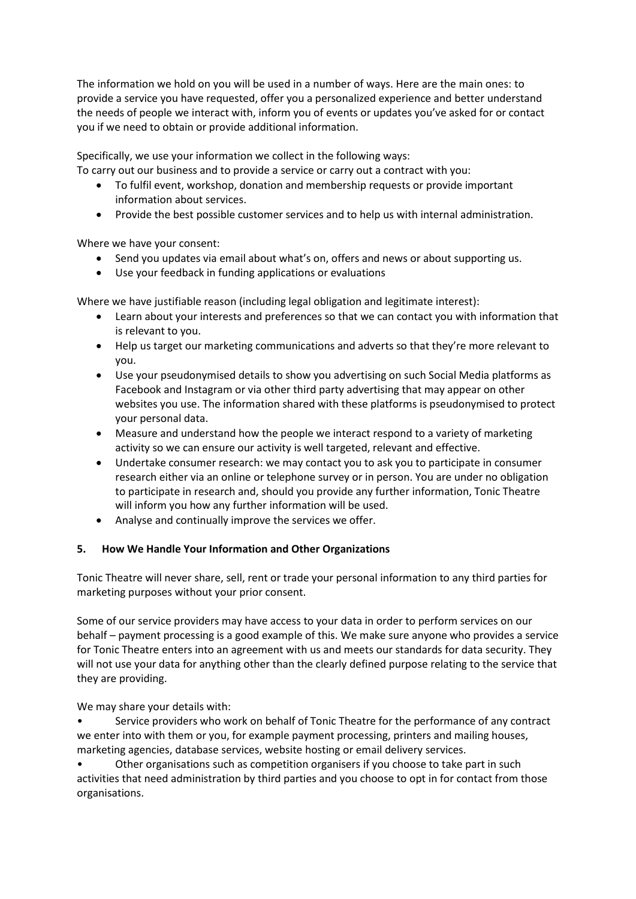The information we hold on you will be used in a number of ways. Here are the main ones: to provide a service you have requested, offer you a personalized experience and better understand the needs of people we interact with, inform you of events or updates you've asked for or contact you if we need to obtain or provide additional information.

Specifically, we use your information we collect in the following ways:

To carry out our business and to provide a service or carry out a contract with you:

- To fulfil event, workshop, donation and membership requests or provide important information about services.
- Provide the best possible customer services and to help us with internal administration.

Where we have your consent:

- Send you updates via email about what's on, offers and news or about supporting us.
- Use your feedback in funding applications or evaluations

Where we have justifiable reason (including legal obligation and legitimate interest):

- Learn about your interests and preferences so that we can contact you with information that is relevant to you.
- Help us target our marketing communications and adverts so that they're more relevant to you.
- Use your pseudonymised details to show you advertising on such Social Media platforms as Facebook and Instagram or via other third party advertising that may appear on other websites you use. The information shared with these platforms is pseudonymised to protect your personal data.
- Measure and understand how the people we interact respond to a variety of marketing activity so we can ensure our activity is well targeted, relevant and effective.
- Undertake consumer research: we may contact you to ask you to participate in consumer research either via an online or telephone survey or in person. You are under no obligation to participate in research and, should you provide any further information, Tonic Theatre will inform you how any further information will be used.
- Analyse and continually improve the services we offer.

## **5. How We Handle Your Information and Other Organizations**

Tonic Theatre will never share, sell, rent or trade your personal information to any third parties for marketing purposes without your prior consent.

Some of our service providers may have access to your data in order to perform services on our behalf – payment processing is a good example of this. We make sure anyone who provides a service for Tonic Theatre enters into an agreement with us and meets our standards for data security. They will not use your data for anything other than the clearly defined purpose relating to the service that they are providing.

We may share your details with:

• Service providers who work on behalf of Tonic Theatre for the performance of any contract we enter into with them or you, for example payment processing, printers and mailing houses, marketing agencies, database services, website hosting or email delivery services.

• Other organisations such as competition organisers if you choose to take part in such activities that need administration by third parties and you choose to opt in for contact from those organisations.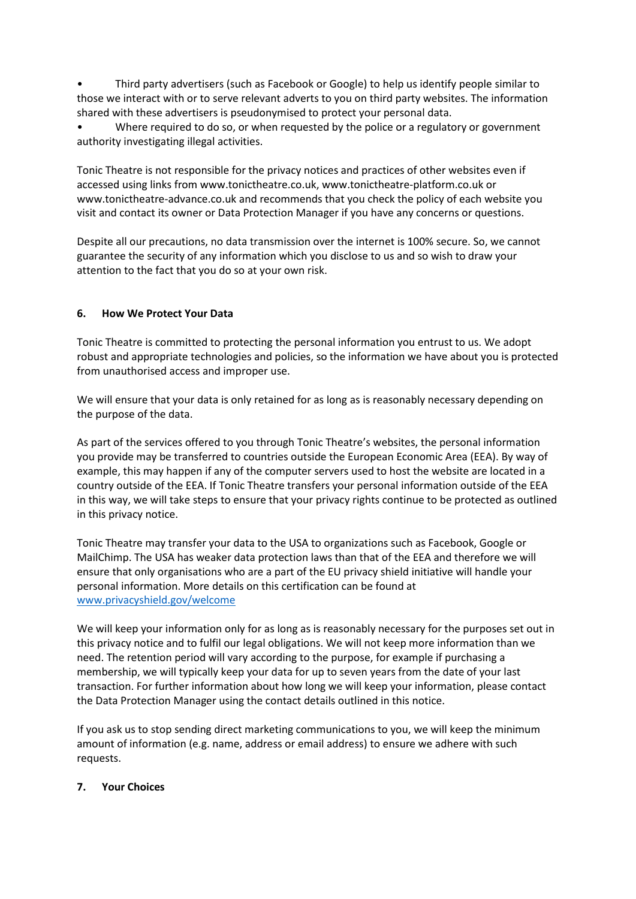• Third party advertisers (such as Facebook or Google) to help us identify people similar to those we interact with or to serve relevant adverts to you on third party websites. The information shared with these advertisers is pseudonymised to protect your personal data.

• Where required to do so, or when requested by the police or a regulatory or government authority investigating illegal activities.

Tonic Theatre is not responsible for the privacy notices and practices of other websites even if accessed using links from [www.tonictheatre.co.uk,](http://www.tonictheatre.co.uk/) www.tonictheatre-platform.co.uk or www.tonictheatre-advance.co.uk and recommends that you check the policy of each website you visit and contact its owner or Data Protection Manager if you have any concerns or questions.

Despite all our precautions, no data transmission over the internet is 100% secure. So, we cannot guarantee the security of any information which you disclose to us and so wish to draw your attention to the fact that you do so at your own risk.

# **6. How We Protect Your Data**

Tonic Theatre is committed to protecting the personal information you entrust to us. We adopt robust and appropriate technologies and policies, so the information we have about you is protected from unauthorised access and improper use.

We will ensure that your data is only retained for as long as is reasonably necessary depending on the purpose of the data.

As part of the services offered to you through Tonic Theatre's websites, the personal information you provide may be transferred to countries outside the European Economic Area (EEA). By way of example, this may happen if any of the computer servers used to host the website are located in a country outside of the EEA. If Tonic Theatre transfers your personal information outside of the EEA in this way, we will take steps to ensure that your privacy rights continue to be protected as outlined in this privacy notice.

Tonic Theatre may transfer your data to the USA to organizations such as Facebook, Google or MailChimp. The USA has weaker data protection laws than that of the EEA and therefore we will ensure that only organisations who are a part of the EU privacy shield initiative will handle your personal information. More details on this certification can be found at <www.privacyshield.gov/welcome>

We will keep your information only for as long as is reasonably necessary for the purposes set out in this privacy notice and to fulfil our legal obligations. We will not keep more information than we need. The retention period will vary according to the purpose, for example if purchasing a membership, we will typically keep your data for up to seven years from the date of your last transaction. For further information about how long we will keep your information, please contact the Data Protection Manager using the contact details outlined in this notice.

If you ask us to stop sending direct marketing communications to you, we will keep the minimum amount of information (e.g. name, address or email address) to ensure we adhere with such requests.

## **7. Your Choices**